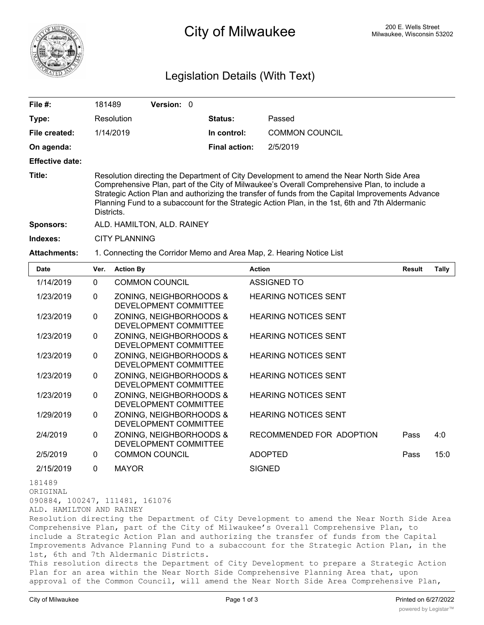

## 200 E. Wells Street 200 E. Wells Street 200 E. Wells Street 200 E. Wells Street

## Legislation Details (With Text)

| File #:                                        | 181489                                                                                                                                                                                                                                                                                                                                                                                                          | Version: 0                                                           |                                         |                                                                                           |               |              |
|------------------------------------------------|-----------------------------------------------------------------------------------------------------------------------------------------------------------------------------------------------------------------------------------------------------------------------------------------------------------------------------------------------------------------------------------------------------------------|----------------------------------------------------------------------|-----------------------------------------|-------------------------------------------------------------------------------------------|---------------|--------------|
| Type:                                          |                                                                                                                                                                                                                                                                                                                                                                                                                 | Resolution                                                           | <b>Status:</b>                          | Passed                                                                                    |               |              |
| File created:                                  |                                                                                                                                                                                                                                                                                                                                                                                                                 | 1/14/2019                                                            | In control:                             | <b>COMMON COUNCIL</b>                                                                     |               |              |
| On agenda:                                     |                                                                                                                                                                                                                                                                                                                                                                                                                 |                                                                      | <b>Final action:</b>                    | 2/5/2019                                                                                  |               |              |
| <b>Effective date:</b>                         |                                                                                                                                                                                                                                                                                                                                                                                                                 |                                                                      |                                         |                                                                                           |               |              |
| Title:                                         | Resolution directing the Department of City Development to amend the Near North Side Area<br>Comprehensive Plan, part of the City of Milwaukee's Overall Comprehensive Plan, to include a<br>Strategic Action Plan and authorizing the transfer of funds from the Capital Improvements Advance<br>Planning Fund to a subaccount for the Strategic Action Plan, in the 1st, 6th and 7th Aldermanic<br>Districts. |                                                                      |                                         |                                                                                           |               |              |
| <b>Sponsors:</b>                               |                                                                                                                                                                                                                                                                                                                                                                                                                 | ALD. HAMILTON, ALD. RAINEY                                           |                                         |                                                                                           |               |              |
| Indexes:                                       | <b>CITY PLANNING</b>                                                                                                                                                                                                                                                                                                                                                                                            |                                                                      |                                         |                                                                                           |               |              |
| <b>Attachments:</b>                            |                                                                                                                                                                                                                                                                                                                                                                                                                 | 1. Connecting the Corridor Memo and Area Map, 2. Hearing Notice List |                                         |                                                                                           |               |              |
| Date                                           | Ver.                                                                                                                                                                                                                                                                                                                                                                                                            | <b>Action By</b>                                                     |                                         | <b>Action</b>                                                                             | <b>Result</b> | <b>Tally</b> |
| 1/14/2019                                      | $\mathbf 0$                                                                                                                                                                                                                                                                                                                                                                                                     | <b>COMMON COUNCIL</b>                                                |                                         | <b>ASSIGNED TO</b>                                                                        |               |              |
| 1/23/2019                                      | 0                                                                                                                                                                                                                                                                                                                                                                                                               | ZONING, NEIGHBORHOODS &<br>DEVELOPMENT COMMITTEE                     |                                         | <b>HEARING NOTICES SENT</b>                                                               |               |              |
| 1/23/2019                                      | 0                                                                                                                                                                                                                                                                                                                                                                                                               | ZONING, NEIGHBORHOODS &<br>DEVELOPMENT COMMITTEE                     |                                         | <b>HEARING NOTICES SENT</b>                                                               |               |              |
| 1/23/2019                                      | 0                                                                                                                                                                                                                                                                                                                                                                                                               | ZONING, NEIGHBORHOODS &<br>DEVELOPMENT COMMITTEE                     |                                         | <b>HEARING NOTICES SENT</b>                                                               |               |              |
| 1/23/2019                                      | 0                                                                                                                                                                                                                                                                                                                                                                                                               | ZONING, NEIGHBORHOODS &<br>DEVELOPMENT COMMITTEE                     |                                         | <b>HEARING NOTICES SENT</b>                                                               |               |              |
| 1/23/2019                                      | 0                                                                                                                                                                                                                                                                                                                                                                                                               | ZONING, NEIGHBORHOODS &<br>DEVELOPMENT COMMITTEE                     |                                         | <b>HEARING NOTICES SENT</b>                                                               |               |              |
| 1/23/2019                                      | 0                                                                                                                                                                                                                                                                                                                                                                                                               | ZONING, NEIGHBORHOODS &<br>DEVELOPMENT COMMITTEE                     |                                         | <b>HEARING NOTICES SENT</b>                                                               |               |              |
| 1/29/2019                                      | 0                                                                                                                                                                                                                                                                                                                                                                                                               | ZONING, NEIGHBORHOODS &<br>DEVELOPMENT COMMITTEE                     |                                         | <b>HEARING NOTICES SENT</b>                                                               |               |              |
| 2/4/2019                                       | 0                                                                                                                                                                                                                                                                                                                                                                                                               | ZONING, NEIGHBORHOODS &<br>DEVELOPMENT COMMITTEE                     |                                         | RECOMMENDED FOR ADOPTION                                                                  | Pass          | 4:0          |
| 2/5/2019                                       | 0                                                                                                                                                                                                                                                                                                                                                                                                               | <b>COMMON COUNCIL</b>                                                |                                         | <b>ADOPTED</b>                                                                            | Pass          | 15:0         |
| 2/15/2019                                      | 0                                                                                                                                                                                                                                                                                                                                                                                                               | <b>MAYOR</b>                                                         |                                         | <b>SIGNED</b>                                                                             |               |              |
| 181489<br>ORIGINAL<br>ALD. HAMILTON AND RAINEY |                                                                                                                                                                                                                                                                                                                                                                                                                 | 090884, 100247, 111481, 161076<br>for plan want of the               | $Q_{\text{min}} = 0.5 M_{\text{min}}^2$ | Resolution directing the Department of City Development to amend the Near North Side Area |               |              |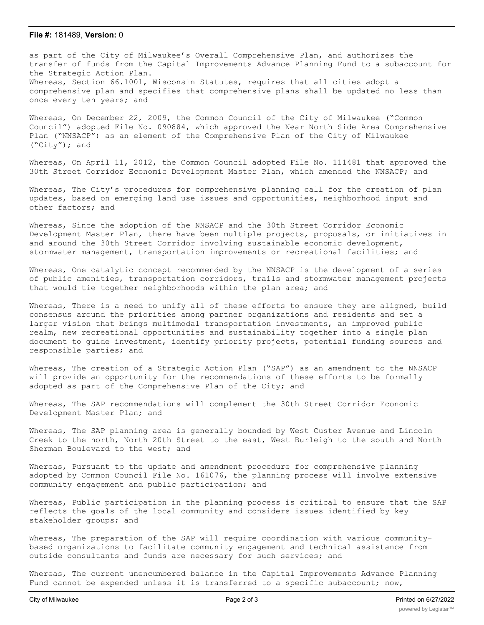## **File #:** 181489, **Version:** 0

as part of the City of Milwaukee's Overall Comprehensive Plan, and authorizes the transfer of funds from the Capital Improvements Advance Planning Fund to a subaccount for the Strategic Action Plan. Whereas, Section 66.1001, Wisconsin Statutes, requires that all cities adopt a comprehensive plan and specifies that comprehensive plans shall be updated no less than once every ten years; and

Whereas, On December 22, 2009, the Common Council of the City of Milwaukee ("Common Council") adopted File No. 090884, which approved the Near North Side Area Comprehensive Plan ("NNSACP") as an element of the Comprehensive Plan of the City of Milwaukee ("City"); and

Whereas, On April 11, 2012, the Common Council adopted File No. 111481 that approved the 30th Street Corridor Economic Development Master Plan, which amended the NNSACP; and

Whereas, The City's procedures for comprehensive planning call for the creation of plan updates, based on emerging land use issues and opportunities, neighborhood input and other factors; and

Whereas, Since the adoption of the NNSACP and the 30th Street Corridor Economic Development Master Plan, there have been multiple projects, proposals, or initiatives in and around the 30th Street Corridor involving sustainable economic development, stormwater management, transportation improvements or recreational facilities; and

Whereas, One catalytic concept recommended by the NNSACP is the development of a series of public amenities, transportation corridors, trails and stormwater management projects that would tie together neighborhoods within the plan area; and

Whereas, There is a need to unify all of these efforts to ensure they are aligned, build consensus around the priorities among partner organizations and residents and set a larger vision that brings multimodal transportation investments, an improved public realm, new recreational opportunities and sustainability together into a single plan document to guide investment, identify priority projects, potential funding sources and responsible parties; and

Whereas, The creation of a Strategic Action Plan ("SAP") as an amendment to the NNSACP will provide an opportunity for the recommendations of these efforts to be formally adopted as part of the Comprehensive Plan of the City; and

Whereas, The SAP recommendations will complement the 30th Street Corridor Economic Development Master Plan; and

Whereas, The SAP planning area is generally bounded by West Custer Avenue and Lincoln Creek to the north, North 20th Street to the east, West Burleigh to the south and North Sherman Boulevard to the west; and

Whereas, Pursuant to the update and amendment procedure for comprehensive planning adopted by Common Council File No. 161076, the planning process will involve extensive community engagement and public participation; and

Whereas, Public participation in the planning process is critical to ensure that the SAP reflects the goals of the local community and considers issues identified by key stakeholder groups; and

Whereas, The preparation of the SAP will require coordination with various communitybased organizations to facilitate community engagement and technical assistance from outside consultants and funds are necessary for such services; and

Whereas, The current unencumbered balance in the Capital Improvements Advance Planning Fund cannot be expended unless it is transferred to a specific subaccount; now,